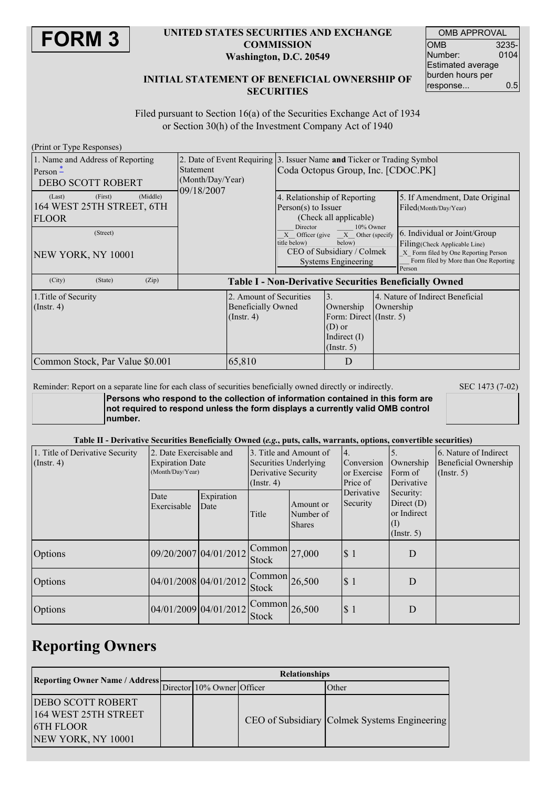

#### **UNITED STATES SECURITIES AND EXCHANGE COMMISSION Washington, D.C. 20549**

| <b>OMB APPROVAL</b>      |       |  |  |  |
|--------------------------|-------|--|--|--|
| OMB                      | 3235- |  |  |  |
| Number:                  | 0104  |  |  |  |
| <b>Estimated average</b> |       |  |  |  |
| burden hours per         |       |  |  |  |
| response                 | 0.5   |  |  |  |

### **INITIAL STATEMENT OF BENEFICIAL OWNERSHIP OF SECURITIES**

Filed pursuant to Section 16(a) of the Securities Exchange Act of 1934 or Section 30(h) of the Investment Company Act of 1940

| (Print or Type Responses)                                                  |                                                                          |                                                                                                              |                                                                                                                         |           |                                                                                                                                                           |  |
|----------------------------------------------------------------------------|--------------------------------------------------------------------------|--------------------------------------------------------------------------------------------------------------|-------------------------------------------------------------------------------------------------------------------------|-----------|-----------------------------------------------------------------------------------------------------------------------------------------------------------|--|
| 1. Name and Address of Reporting<br>Person $-$<br>DEBO SCOTT ROBERT        | <b>Statement</b><br>(Month/Day/Year)<br>09/18/2007                       | 2. Date of Event Requiring 3. Issuer Name and Ticker or Trading Symbol<br>Coda Octopus Group, Inc. [CDOC.PK] |                                                                                                                         |           |                                                                                                                                                           |  |
| (Middle)<br>(First)<br>(Last)<br>164 WEST 25TH STREET, 6TH<br><b>FLOOR</b> |                                                                          | 4. Relationship of Reporting<br>Person(s) to Issuer<br>(Check all applicable)                                |                                                                                                                         |           | 5. If Amendment, Date Original<br>Filed(Month/Day/Year)                                                                                                   |  |
| (Street)<br>NEW YORK, NY 10001                                             | Director<br>title below)                                                 |                                                                                                              | 10% Owner<br>$X$ Officer (give $X$ Other (specify<br>below)<br>CEO of Subsidiary / Colmek<br><b>Systems Engineering</b> |           | 6. Individual or Joint/Group<br>Filing (Check Applicable Line)<br>X Form filed by One Reporting Person<br>Form filed by More than One Reporting<br>Person |  |
| (City)<br>(State)<br>(Zip)                                                 | <b>Table I - Non-Derivative Securities Beneficially Owned</b>            |                                                                                                              |                                                                                                                         |           |                                                                                                                                                           |  |
| 1. Title of Security<br>$($ Instr. 4 $)$                                   | 2. Amount of Securities<br><b>Beneficially Owned</b><br>$($ Instr. 4 $)$ |                                                                                                              | $\overline{3}$ .<br>Ownership<br>Form: Direct (Instr. 5)<br>$(D)$ or<br>Indirect $(I)$<br>(Insert. 5)                   | Ownership | 4. Nature of Indirect Beneficial                                                                                                                          |  |
| Common Stock, Par Value \$0.001                                            | 65,810                                                                   |                                                                                                              | D                                                                                                                       |           |                                                                                                                                                           |  |

Reminder: Report on a separate line for each class of securities beneficially owned directly or indirectly. SEC 1473 (7-02)

**Persons who respond to the collection of information contained in this form are not required to respond unless the form displays a currently valid OMB control number.**

#### Table II - Derivative Securities Beneficially Owned (e.g., puts, calls, warrants, options, convertible securities)

| 1. Title of Derivative Security<br>$($ Instr. 4 $)$ | 2. Date Exercisable and<br><b>Expiration Date</b><br>(Month/Day/Year) |                    | Securities Underlying<br>Derivative Security<br>$($ Instr. 4) | 3. Title and Amount of                  | 4.<br>Conversion<br>or Exercise<br>Price of | Ownership<br>Form of<br>Derivative<br>Security:<br>Direct $(D)$<br>or Indirect<br>(1)<br>$($ Instr. 5 $)$ | 6. Nature of Indirect<br>Beneficial Ownership<br>$($ Instr. 5 $)$ |
|-----------------------------------------------------|-----------------------------------------------------------------------|--------------------|---------------------------------------------------------------|-----------------------------------------|---------------------------------------------|-----------------------------------------------------------------------------------------------------------|-------------------------------------------------------------------|
|                                                     | Date<br>Exercisable                                                   | Expiration<br>Date | Title                                                         | Amount or<br>Number of<br><b>Shares</b> | Derivative<br>Security                      |                                                                                                           |                                                                   |
| <b>Options</b>                                      | 09/20/2007 04/01/2012                                                 |                    | $\sqrt{\text{Common}}$ 27,000<br>Stock                        |                                         | \$1                                         | D                                                                                                         |                                                                   |
| <b>Options</b>                                      | 04/01/2008 04/01/2012                                                 |                    | $\sqrt{\text{Common}}$ 26,500<br><b>Stock</b>                 |                                         | \$1                                         | D                                                                                                         |                                                                   |
| Options                                             | 04/01/2009 04/01/2012                                                 |                    | $\sqrt{\text{Common}}$ 26,500<br><b>Stock</b>                 |                                         | \$1                                         | D                                                                                                         |                                                                   |

## **Reporting Owners**

| <b>Reporting Owner Name / Address-</b>                                                     | <b>Relationships</b> |                            |  |                                              |  |  |
|--------------------------------------------------------------------------------------------|----------------------|----------------------------|--|----------------------------------------------|--|--|
|                                                                                            |                      | Director 10% Owner Officer |  | Other                                        |  |  |
| <b>DEBO SCOTT ROBERT</b><br>164 WEST 25TH STREET<br><b>STH FLOOR</b><br>NEW YORK, NY 10001 |                      |                            |  | CEO of Subsidiary Colmek Systems Engineering |  |  |